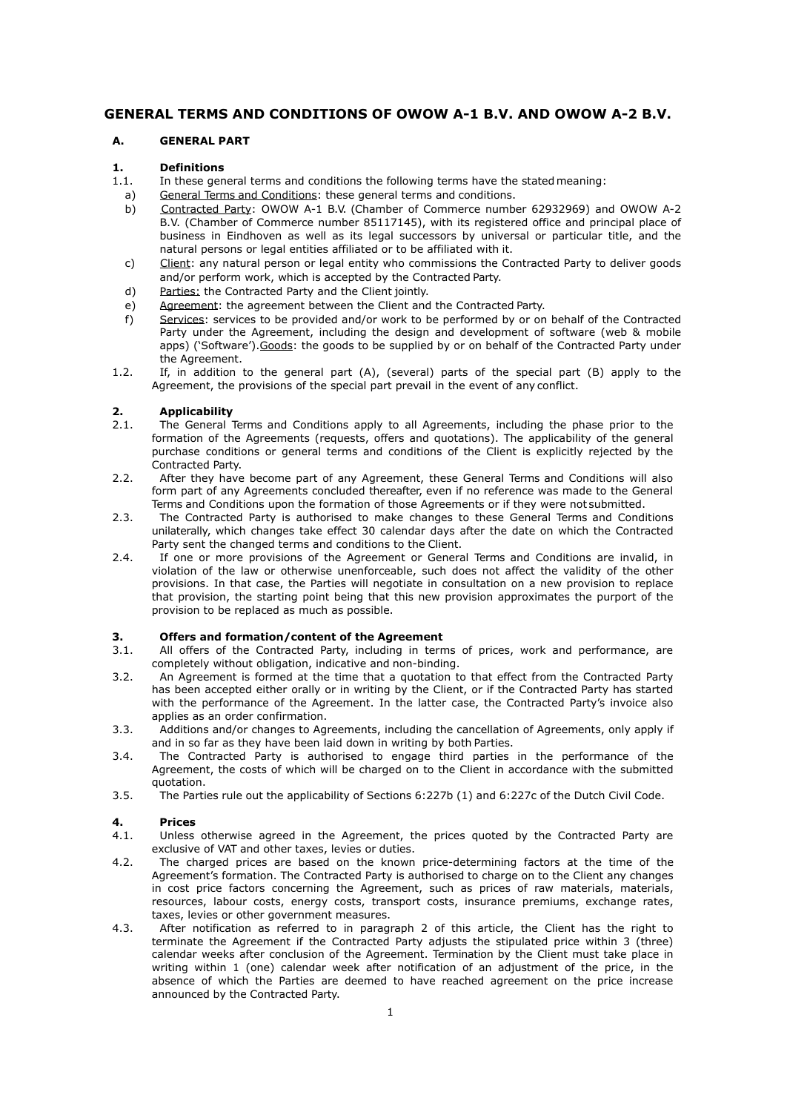# **GENERAL TERMS AND CONDITIONS OF OWOW A-1 B.V. AND OWOW A-2 B.V.**

## **A. GENERAL PART**

## **1. Definitions**

- 1.1. In these general terms and conditions the following terms have the statedmeaning:
- a) General Terms and Conditions: these general terms and conditions.
- b) Contracted Party: OWOW A-1 B.V. (Chamber of Commerce number 62932969) and OWOW A-2 B.V. (Chamber of Commerce number 85117145), with its registered office and principal place of business in Eindhoven as well as its legal successors by universal or particular title, and the natural persons or legal entities affiliated or to be affiliated with it.
- c) Client: any natural person or legal entity who commissions the Contracted Party to deliver goods and/or perform work, which is accepted by the Contracted Party.
- d) Parties: the Contracted Party and the Client jointly.
- e) Agreement: the agreement between the Client and the Contracted Party.
- f) Services: services to be provided and/or work to be performed by or on behalf of the Contracted Party under the Agreement, including the design and development of software (web & mobile apps) ('Software').Goods: the goods to be supplied by or on behalf of the Contracted Party under the Agreement.
- 1.2. If, in addition to the general part (A), (several) parts of the special part (B) apply to the Agreement, the provisions of the special part prevail in the event of any conflict.

## **2. Applicability**

- 2.1. The General Terms and Conditions apply to all Agreements, including the phase prior to the formation of the Agreements (requests, offers and quotations). The applicability of the general purchase conditions or general terms and conditions of the Client is explicitly rejected by the Contracted Party.
- 2.2. After they have become part of any Agreement, these General Terms and Conditions will also form part of any Agreements concluded thereafter, even if no reference was made to the General Terms and Conditions upon the formation of those Agreements or if they were not submitted.
- 2.3. The Contracted Party is authorised to make changes to these General Terms and Conditions unilaterally, which changes take effect 30 calendar days after the date on which the Contracted Party sent the changed terms and conditions to the Client.
- 2.4. If one or more provisions of the Agreement or General Terms and Conditions are invalid, in violation of the law or otherwise unenforceable, such does not affect the validity of the other provisions. In that case, the Parties will negotiate in consultation on a new provision to replace that provision, the starting point being that this new provision approximates the purport of the provision to be replaced as much as possible.

#### **3. Offers and formation/content of the Agreement**

- 3.1. All offers of the Contracted Party, including in terms of prices, work and performance, are completely without obligation, indicative and non-binding.
- 3.2. An Agreement is formed at the time that a quotation to that effect from the Contracted Party has been accepted either orally or in writing by the Client, or if the Contracted Party has started with the performance of the Agreement. In the latter case, the Contracted Party's invoice also applies as an order confirmation.
- 3.3. Additions and/or changes to Agreements, including the cancellation of Agreements, only apply if and in so far as they have been laid down in writing by both Parties.
- 3.4. The Contracted Party is authorised to engage third parties in the performance of the Agreement, the costs of which will be charged on to the Client in accordance with the submitted quotation.
- 3.5. The Parties rule out the applicability of Sections 6:227b (1) and 6:227c of the Dutch Civil Code.

## **4. Prices**

- 4.1. Unless otherwise agreed in the Agreement, the prices quoted by the Contracted Party are exclusive of VAT and other taxes, levies or duties.
- 4.2. The charged prices are based on the known price-determining factors at the time of the Agreement's formation. The Contracted Party is authorised to charge on to the Client any changes in cost price factors concerning the Agreement, such as prices of raw materials, materials, resources, labour costs, energy costs, transport costs, insurance premiums, exchange rates, taxes, levies or other government measures.
- 4.3. After notification as referred to in paragraph 2 of this article, the Client has the right to terminate the Agreement if the Contracted Party adjusts the stipulated price within 3 (three) calendar weeks after conclusion of the Agreement. Termination by the Client must take place in writing within 1 (one) calendar week after notification of an adjustment of the price, in the absence of which the Parties are deemed to have reached agreement on the price increase announced by the Contracted Party.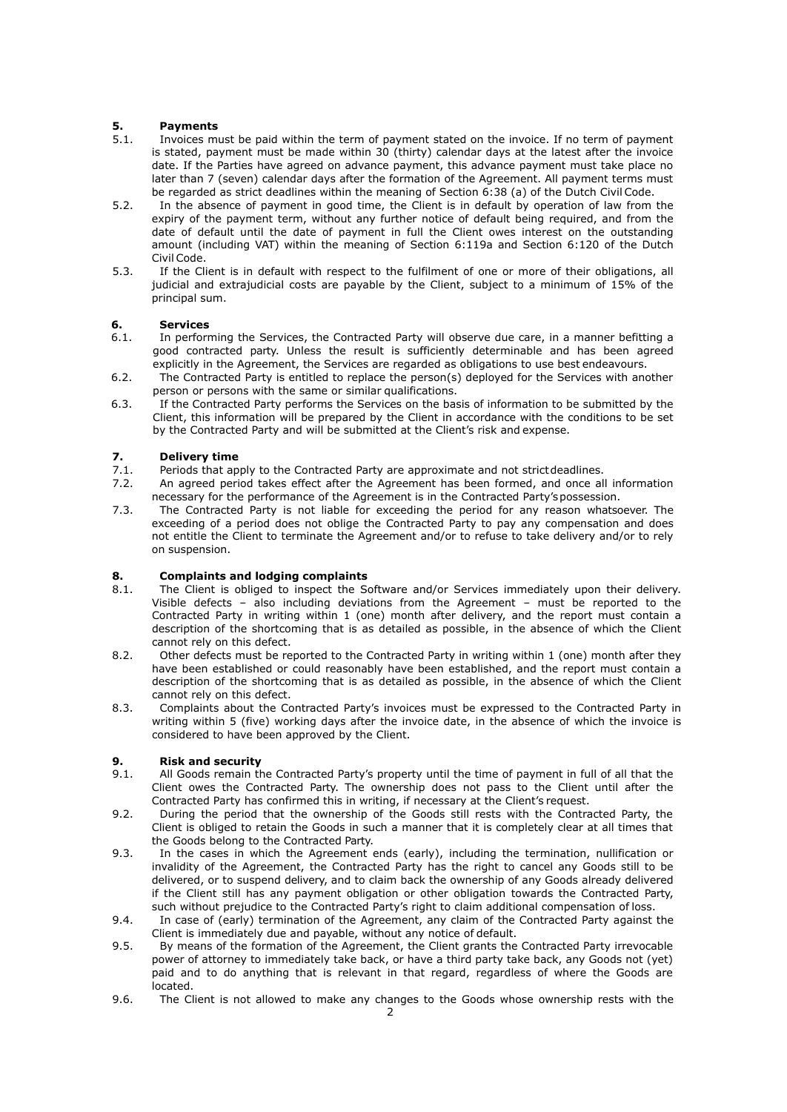# **5. Payments**

- 5.1. Invoices must be paid within the term of payment stated on the invoice. If no term of payment is stated, payment must be made within 30 (thirty) calendar days at the latest after the invoice date. If the Parties have agreed on advance payment, this advance payment must take place no later than 7 (seven) calendar days after the formation of the Agreement. All payment terms must be regarded as strict deadlines within the meaning of Section 6:38 (a) of the Dutch Civil Code.
- 5.2. In the absence of payment in good time, the Client is in default by operation of law from the expiry of the payment term, without any further notice of default being required, and from the date of default until the date of payment in full the Client owes interest on the outstanding amount (including VAT) within the meaning of Section 6:119a and Section 6:120 of the Dutch Civil Code.
- 5.3. If the Client is in default with respect to the fulfilment of one or more of their obligations, all judicial and extrajudicial costs are payable by the Client, subject to a minimum of 15% of the principal sum.

# **6. Services**

- 6.1. In performing the Services, the Contracted Party will observe due care, in a manner befitting a good contracted party. Unless the result is sufficiently determinable and has been agreed explicitly in the Agreement, the Services are regarded as obligations to use best endeavours.
- 6.2. The Contracted Party is entitled to replace the person(s) deployed for the Services with another person or persons with the same or similar qualifications.
- 6.3. If the Contracted Party performs the Services on the basis of information to be submitted by the Client, this information will be prepared by the Client in accordance with the conditions to be set by the Contracted Party and will be submitted at the Client's risk and expense.

# **7. Delivery time**

- 7.1. Periods that apply to the Contracted Party are approximate and not strictdeadlines.
- 7.2. An agreed period takes effect after the Agreement has been formed, and once all information necessary for the performance of the Agreement is in the Contracted Party'spossession.
- 7.3. The Contracted Party is not liable for exceeding the period for any reason whatsoever. The exceeding of a period does not oblige the Contracted Party to pay any compensation and does not entitle the Client to terminate the Agreement and/or to refuse to take delivery and/or to rely on suspension.

# **8. Complaints and lodging complaints**

- 8.1. The Client is obliged to inspect the Software and/or Services immediately upon their delivery. Visible defects – also including deviations from the Agreement – must be reported to the Contracted Party in writing within 1 (one) month after delivery, and the report must contain a description of the shortcoming that is as detailed as possible, in the absence of which the Client cannot rely on this defect.
- 8.2. Other defects must be reported to the Contracted Party in writing within 1 (one) month after they have been established or could reasonably have been established, and the report must contain a description of the shortcoming that is as detailed as possible, in the absence of which the Client cannot rely on this defect.
- 8.3. Complaints about the Contracted Party's invoices must be expressed to the Contracted Party in writing within 5 (five) working days after the invoice date, in the absence of which the invoice is considered to have been approved by the Client.

# **9. Risk and security**

- 9.1. All Goods remain the Contracted Party's property until the time of payment in full of all that the Client owes the Contracted Party. The ownership does not pass to the Client until after the Contracted Party has confirmed this in writing, if necessary at the Client's request.
- 9.2. During the period that the ownership of the Goods still rests with the Contracted Party, the Client is obliged to retain the Goods in such a manner that it is completely clear at all times that the Goods belong to the Contracted Party.
- 9.3. In the cases in which the Agreement ends (early), including the termination, nullification or invalidity of the Agreement, the Contracted Party has the right to cancel any Goods still to be delivered, or to suspend delivery, and to claim back the ownership of any Goods already delivered if the Client still has any payment obligation or other obligation towards the Contracted Party, such without prejudice to the Contracted Party's right to claim additional compensation of loss.
- 9.4. In case of (early) termination of the Agreement, any claim of the Contracted Party against the Client is immediately due and payable, without any notice of default.
- 9.5. By means of the formation of the Agreement, the Client grants the Contracted Party irrevocable power of attorney to immediately take back, or have a third party take back, any Goods not (yet) paid and to do anything that is relevant in that regard, regardless of where the Goods are located.
- 9.6. The Client is not allowed to make any changes to the Goods whose ownership rests with the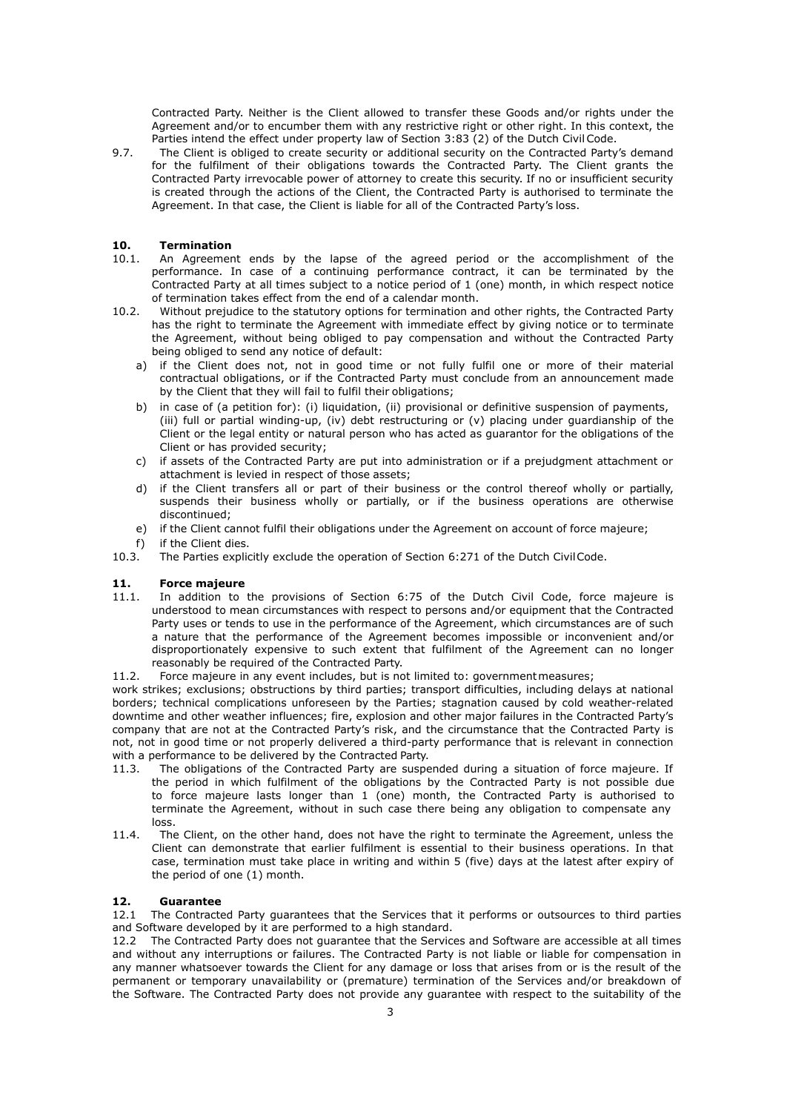Contracted Party. Neither is the Client allowed to transfer these Goods and/or rights under the Agreement and/or to encumber them with any restrictive right or other right. In this context, the Parties intend the effect under property law of Section 3:83 (2) of the Dutch Civil Code.

9.7. The Client is obliged to create security or additional security on the Contracted Party's demand for the fulfilment of their obligations towards the Contracted Party. The Client grants the Contracted Party irrevocable power of attorney to create this security. If no or insufficient security is created through the actions of the Client, the Contracted Party is authorised to terminate the Agreement. In that case, the Client is liable for all of the Contracted Party's loss.

### **10. Termination**

- 10.1. An Agreement ends by the lapse of the agreed period or the accomplishment of the performance. In case of a continuing performance contract, it can be terminated by the Contracted Party at all times subject to a notice period of 1 (one) month, in which respect notice of termination takes effect from the end of a calendar month.
- 10.2. Without prejudice to the statutory options for termination and other rights, the Contracted Party has the right to terminate the Agreement with immediate effect by giving notice or to terminate the Agreement, without being obliged to pay compensation and without the Contracted Party being obliged to send any notice of default:
	- a) if the Client does not, not in good time or not fully fulfil one or more of their material contractual obligations, or if the Contracted Party must conclude from an announcement made by the Client that they will fail to fulfil their obligations;
	- b) in case of (a petition for): (i) liquidation, (ii) provisional or definitive suspension of payments, (iii) full or partial winding-up, (iv) debt restructuring or (v) placing under guardianship of the Client or the legal entity or natural person who has acted as guarantor for the obligations of the Client or has provided security;
	- c) if assets of the Contracted Party are put into administration or if a prejudgment attachment or attachment is levied in respect of those assets;
	- d) if the Client transfers all or part of their business or the control thereof wholly or partially, suspends their business wholly or partially, or if the business operations are otherwise discontinued;
	- e) if the Client cannot fulfil their obligations under the Agreement on account of force majeure;
	-
- f) if the Client dies.<br>10.3. The Parties explic The Parties explicitly exclude the operation of Section 6:271 of the Dutch CivilCode.

## **11. Force majeure**

- 11.1. In addition to the provisions of Section 6:75 of the Dutch Civil Code, force majeure is understood to mean circumstances with respect to persons and/or equipment that the Contracted Party uses or tends to use in the performance of the Agreement, which circumstances are of such a nature that the performance of the Agreement becomes impossible or inconvenient and/or disproportionately expensive to such extent that fulfilment of the Agreement can no longer reasonably be required of the Contracted Party.
- 11.2. Force majeure in any event includes, but is not limited to: governmentmeasures;

work strikes; exclusions; obstructions by third parties; transport difficulties, including delays at national borders; technical complications unforeseen by the Parties; stagnation caused by cold weather-related downtime and other weather influences; fire, explosion and other major failures in the Contracted Party's company that are not at the Contracted Party's risk, and the circumstance that the Contracted Party is not, not in good time or not properly delivered a third-party performance that is relevant in connection with a performance to be delivered by the Contracted Party.

- 11.3. The obligations of the Contracted Party are suspended during a situation of force majeure. If the period in which fulfilment of the obligations by the Contracted Party is not possible due to force majeure lasts longer than 1 (one) month, the Contracted Party is authorised to terminate the Agreement, without in such case there being any obligation to compensate any loss.
- 11.4. The Client, on the other hand, does not have the right to terminate the Agreement, unless the Client can demonstrate that earlier fulfilment is essential to their business operations. In that case, termination must take place in writing and within 5 (five) days at the latest after expiry of the period of one (1) month.

#### **12. Guarantee**

12.1 The Contracted Party guarantees that the Services that it performs or outsources to third parties and Software developed by it are performed to a high standard.

12.2 The Contracted Party does not guarantee that the Services and Software are accessible at all times and without any interruptions or failures. The Contracted Party is not liable or liable for compensation in any manner whatsoever towards the Client for any damage or loss that arises from or is the result of the permanent or temporary unavailability or (premature) termination of the Services and/or breakdown of the Software. The Contracted Party does not provide any guarantee with respect to the suitability of the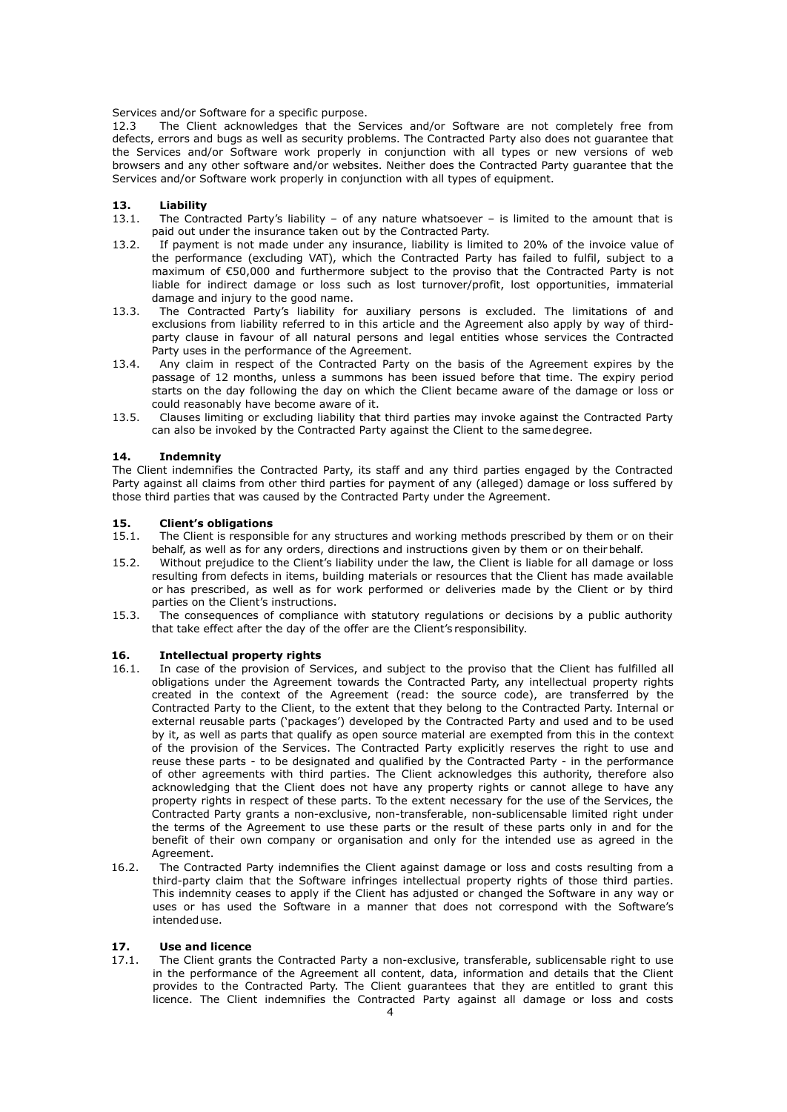Services and/or Software for a specific purpose.

12.3 The Client acknowledges that the Services and/or Software are not completely free from defects, errors and bugs as well as security problems. The Contracted Party also does not guarantee that the Services and/or Software work properly in conjunction with all types or new versions of web browsers and any other software and/or websites. Neither does the Contracted Party guarantee that the Services and/or Software work properly in conjunction with all types of equipment.

## **13. Liability**

- 13.1. The Contracted Party's liability of any nature whatsoever is limited to the amount that is paid out under the insurance taken out by the Contracted Party.
- 13.2. If payment is not made under any insurance, liability is limited to 20% of the invoice value of the performance (excluding VAT), which the Contracted Party has failed to fulfil, subject to a maximum of €50,000 and furthermore subject to the proviso that the Contracted Party is not liable for indirect damage or loss such as lost turnover/profit, lost opportunities, immaterial damage and injury to the good name.
- 13.3. The Contracted Party's liability for auxiliary persons is excluded. The limitations of and exclusions from liability referred to in this article and the Agreement also apply by way of thirdparty clause in favour of all natural persons and legal entities whose services the Contracted Party uses in the performance of the Agreement.
- 13.4. Any claim in respect of the Contracted Party on the basis of the Agreement expires by the passage of 12 months, unless a summons has been issued before that time. The expiry period starts on the day following the day on which the Client became aware of the damage or loss or could reasonably have become aware of it.
- 13.5. Clauses limiting or excluding liability that third parties may invoke against the Contracted Party can also be invoked by the Contracted Party against the Client to the samedegree.

#### **14. Indemnity**

The Client indemnifies the Contracted Party, its staff and any third parties engaged by the Contracted Party against all claims from other third parties for payment of any (alleged) damage or loss suffered by those third parties that was caused by the Contracted Party under the Agreement.

#### **15. Client's obligations**

- 15.1. The Client is responsible for any structures and working methods prescribed by them or on their behalf, as well as for any orders, directions and instructions given by them or on theirbehalf.
- 15.2. Without prejudice to the Client's liability under the law, the Client is liable for all damage or loss resulting from defects in items, building materials or resources that the Client has made available or has prescribed, as well as for work performed or deliveries made by the Client or by third parties on the Client's instructions.
- 15.3. The consequences of compliance with statutory regulations or decisions by a public authority that take effect after the day of the offer are the Client's responsibility.

#### **16. Intellectual property rights**

- 16.1. In case of the provision of Services, and subject to the proviso that the Client has fulfilled all obligations under the Agreement towards the Contracted Party, any intellectual property rights created in the context of the Agreement (read: the source code), are transferred by the Contracted Party to the Client, to the extent that they belong to the Contracted Party. Internal or external reusable parts ('packages') developed by the Contracted Party and used and to be used by it, as well as parts that qualify as open source material are exempted from this in the context of the provision of the Services. The Contracted Party explicitly reserves the right to use and reuse these parts - to be designated and qualified by the Contracted Party - in the performance of other agreements with third parties. The Client acknowledges this authority, therefore also acknowledging that the Client does not have any property rights or cannot allege to have any property rights in respect of these parts. To the extent necessary for the use of the Services, the Contracted Party grants a non-exclusive, non-transferable, non-sublicensable limited right under the terms of the Agreement to use these parts or the result of these parts only in and for the benefit of their own company or organisation and only for the intended use as agreed in the Agreement
- 16.2. The Contracted Party indemnifies the Client against damage or loss and costs resulting from a third-party claim that the Software infringes intellectual property rights of those third parties. This indemnity ceases to apply if the Client has adjusted or changed the Software in any way or uses or has used the Software in a manner that does not correspond with the Software's intendeduse.

#### **17. Use and licence**

17.1. The Client grants the Contracted Party a non-exclusive, transferable, sublicensable right to use in the performance of the Agreement all content, data, information and details that the Client provides to the Contracted Party. The Client guarantees that they are entitled to grant this licence. The Client indemnifies the Contracted Party against all damage or loss and costs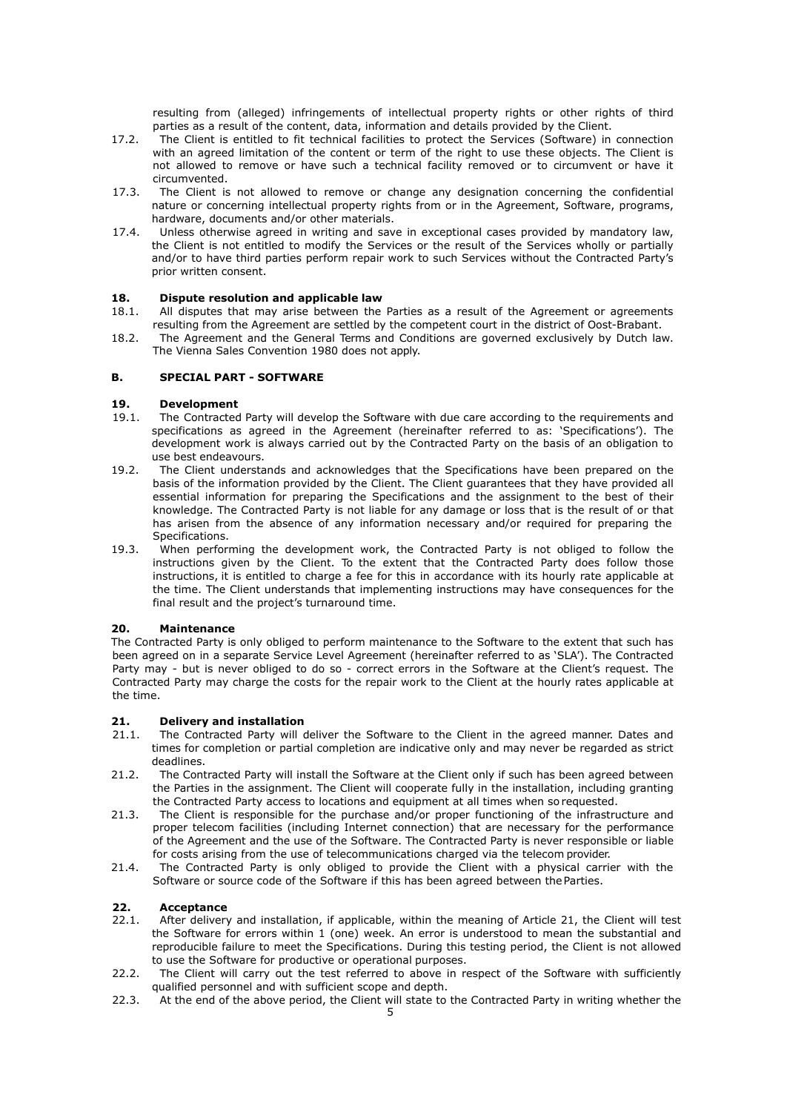resulting from (alleged) infringements of intellectual property rights or other rights of third parties as a result of the content, data, information and details provided by the Client.

- 17.2. The Client is entitled to fit technical facilities to protect the Services (Software) in connection with an agreed limitation of the content or term of the right to use these objects. The Client is not allowed to remove or have such a technical facility removed or to circumvent or have it circumvented.
- 17.3. The Client is not allowed to remove or change any designation concerning the confidential nature or concerning intellectual property rights from or in the Agreement, Software, programs, hardware, documents and/or other materials.
- 17.4. Unless otherwise agreed in writing and save in exceptional cases provided by mandatory law, the Client is not entitled to modify the Services or the result of the Services wholly or partially and/or to have third parties perform repair work to such Services without the Contracted Party's prior written consent.

# **18. Dispute resolution and applicable law** 18.1. All disputes that may arise between the

- 18.1. All disputes that may arise between the Parties as a result of the Agreement or agreements resulting from the Agreement are settled by the competent court in the district of Oost-Brabant.
- 18.2. The Agreement and the General Terms and Conditions are governed exclusively by Dutch law. The Vienna Sales Convention 1980 does not apply.

#### **B. SPECIAL PART - SOFTWARE**

# **19. Development**

- The Contracted Party will develop the Software with due care according to the requirements and specifications as agreed in the Agreement (hereinafter referred to as: 'Specifications'). The development work is always carried out by the Contracted Party on the basis of an obligation to use best endeavours.
- 19.2. The Client understands and acknowledges that the Specifications have been prepared on the basis of the information provided by the Client. The Client guarantees that they have provided all essential information for preparing the Specifications and the assignment to the best of their knowledge. The Contracted Party is not liable for any damage or loss that is the result of or that has arisen from the absence of any information necessary and/or required for preparing the Specifications.
- 19.3. When performing the development work, the Contracted Party is not obliged to follow the instructions given by the Client. To the extent that the Contracted Party does follow those instructions, it is entitled to charge a fee for this in accordance with its hourly rate applicable at the time. The Client understands that implementing instructions may have consequences for the final result and the project's turnaround time.

#### **20. Maintenance**

The Contracted Party is only obliged to perform maintenance to the Software to the extent that such has been agreed on in a separate Service Level Agreement (hereinafter referred to as 'SLA'). The Contracted Party may - but is never obliged to do so - correct errors in the Software at the Client's request. The Contracted Party may charge the costs for the repair work to the Client at the hourly rates applicable at the time.

#### **21. Delivery and installation**

- 21.1. The Contracted Party will deliver the Software to the Client in the agreed manner. Dates and times for completion or partial completion are indicative only and may never be regarded as strict deadlines.
- 21.2. The Contracted Party will install the Software at the Client only if such has been agreed between the Parties in the assignment. The Client will cooperate fully in the installation, including granting the Contracted Party access to locations and equipment at all times when so requested.
- 21.3. The Client is responsible for the purchase and/or proper functioning of the infrastructure and proper telecom facilities (including Internet connection) that are necessary for the performance of the Agreement and the use of the Software. The Contracted Party is never responsible or liable for costs arising from the use of telecommunications charged via the telecom provider.
- 21.4. The Contracted Party is only obliged to provide the Client with a physical carrier with the Software or source code of the Software if this has been agreed between the Parties.

#### **22. Acceptance**

- 22.1. After delivery and installation, if applicable, within the meaning of Article 21, the Client will test the Software for errors within 1 (one) week. An error is understood to mean the substantial and reproducible failure to meet the Specifications. During this testing period, the Client is not allowed to use the Software for productive or operational purposes.
- 22.2. The Client will carry out the test referred to above in respect of the Software with sufficiently qualified personnel and with sufficient scope and depth.
- 22.3. At the end of the above period, the Client will state to the Contracted Party in writing whether the